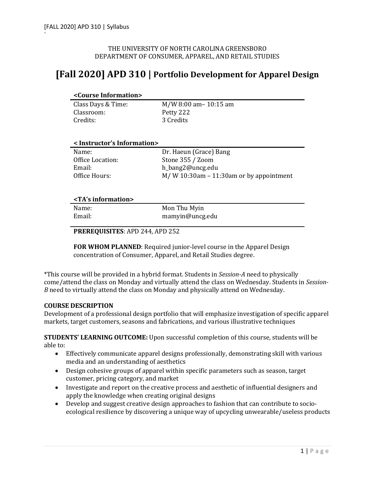# THE UNIVERSITY OF NORTH CAROLINA GREENSBORO DEPARTMENT OF CONSUMER, APPAREL, AND RETAIL STUDIES

# **[Fall 2020] APD 310 | Portfolio Development for Apparel Design**

#### **<Course Information>**

| Class Days & Time: |  |
|--------------------|--|
| Classroom:         |  |
| Credits:           |  |

M/W 8:00 am– 10:15 am Petty 222 3 Credits

# **< Instructor's Information>**

| Name:            | Dr. Haeun (Grace) Bang                    |
|------------------|-------------------------------------------|
| Office Location: | Stone 355 / Zoom                          |
| Email:           | h_bang2@uncg.edu                          |
| Office Hours:    | $M/W$ 10:30am – 11:30am or by appointment |

#### **<TA's information>**

Name: Email: 

Mon Thu Myin mamyin@uncg.edu

#### **PREREQUISITES: APD 244, APD 252**

**FOR WHOM PLANNED:** Required junior-level course in the Apparel Design concentration of Consumer, Apparel, and Retail Studies degree.

\*This course will be provided in a hybrid format. Students in *Session-A* need to physically come/attend the class on Monday and virtually attend the class on Wednesday. Students in *Session-B* need to virtually attend the class on Monday and physically attend on Wednesday.

### **COURSE DESCRIPTION**

Development of a professional design portfolio that will emphasize investigation of specific apparel markets, target customers, seasons and fabrications, and various illustrative techniques

**STUDENTS' LEARNING OUTCOME:** Upon successful completion of this course, students will be able to:

- Effectively communicate apparel designs professionally, demonstrating skill with various media and an understanding of aesthetics
- Design cohesive groups of apparel within specific parameters such as season, target customer, pricing category, and market
- Investigate and report on the creative process and aesthetic of influential designers and apply the knowledge when creating original designs
- Develop and suggest creative design approaches to fashion that can contribute to socioecological resilience by discovering a unique way of upcycling unwearable/useless products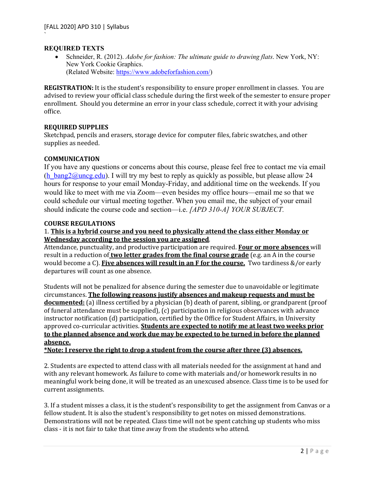## **REQUIRED TEXTS**

`

• Schneider, R. (2012). *Adobe for fashion: The ultimate guide to drawing flats*. New York, NY: New York Cookie Graphics. (Related Website: https://www.adobeforfashion.com/)

**REGISTRATION:** It is the student's responsibility to ensure proper enrollment in classes. You are advised to review your official class schedule during the first week of the semester to ensure proper enrollment. Should you determine an error in your class schedule, correct it with your advising office.

# **REQUIRED SUPPLIES**

Sketchpad, pencils and erasers, storage device for computer files, fabric swatches, and other supplies as needed.

# **COMMUNICATION**

If you have any questions or concerns about this course, please feel free to contact me via email (h\_bang2@uncg.edu). I will try my best to reply as quickly as possible, but please allow 24 hours for response to your email Monday-Friday, and additional time on the weekends. If you would like to meet with me via Zoom—even besides my office hours—email me so that we could schedule our virtual meeting together. When you email me, the subject of your email should indicate the course code and section—i.e. *[APD 310-A] YOUR SUBJECT.* 

### **COURSE REGULATIONS**

# 1. This is a hybrid course and you need to physically attend the class either Monday or **Wednesday according to the session you are assigned.**

Attendance, punctuality, and productive participation are required. **Four or more absences** will result in a reduction of **two letter grades from the final course grade** (e.g. an A in the course would become a C). Five absences will result in an F for the course. Two tardiness &/or early departures will count as one absence.

Students will not be penalized for absence during the semester due to unavoidable or legitimate circumstances. The following reasons justify absences and makeup requests and must be **documented:** (a) illness certified by a physician (b) death of parent, sibling, or grandparent (proof of funeral attendance must be supplied),  $(c)$  participation in religious observances with advance instructor notification (d) participation, certified by the Office for Student Affairs, in University approved co-curricular activities. **Students are expected to notify me at least two weeks prior** to the planned absence and work due may be expected to be turned in before the planned **absence.**

\*Note: I reserve the right to drop a student from the course after three (3) absences.

2. Students are expected to attend class with all materials needed for the assignment at hand and with any relevant homework. As failure to come with materials and/or homework results in no meaningful work being done, it will be treated as an unexcused absence. Class time is to be used for current assignments.

3. If a student misses a class, it is the student's responsibility to get the assignment from Canvas or a fellow student. It is also the student's responsibility to get notes on missed demonstrations. Demonstrations will not be repeated. Class time will not be spent catching up students who miss class - it is not fair to take that time away from the students who attend.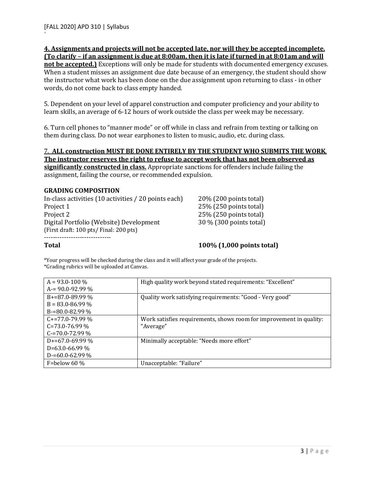#### **<u>4.** Assignments and projects will not be accepted late, nor will they be accepted incomplete.</u> **(To clarify – if an assignment is due at 8:00am, then it is late if turned in at 8:01am and will**

not be accepted.) Exceptions will only be made for students with documented emergency excuses. When a student misses an assignment due date because of an emergency, the student should show the instructor what work has been done on the due assignment upon returning to class - in other words, do not come back to class empty handed.

5. Dependent on your level of apparel construction and computer proficiency and your ability to learn skills, an average of 6-12 hours of work outside the class per week may be necessary.

6. Turn cell phones to "manner mode" or off while in class and refrain from texting or talking on them during class. Do not wear earphones to listen to music, audio, etc. during class.

#### 7. ALL construction MUST BE DONE ENTIRELY BY THE STUDENT WHO SUBMITS THE WORK. The instructor reserves the right to refuse to accept work that has not been observed as

**significantly constructed in class.** Appropriate sanctions for offenders include failing the assignment, failing the course, or recommended expulsion.

# **GRADING COMPOSITION**

In-class activities  $(10 \text{ activities} / 20 \text{ points each})$  20%  $(200 \text{ points total})$ Project 1 25% (250 points total) Project 2 25% (250 points total) Digital Portfolio (Website) Development 30 % (300 points total) (First draft:  $100$  pts/ Final:  $200$  pts) ------------------------------

**Total 100%** (1,000 points total)

\*Your progress will be checked during the class and it will affect your grade of the projects. \*Grading rubrics will be uploaded at Canvas.

| $A = 93.0 - 100\%$   | High quality work beyond stated requirements: "Excellent"           |
|----------------------|---------------------------------------------------------------------|
| $A = 90.0 - 92.99 %$ |                                                                     |
| $B+=87.0-89.99\%$    | Quality work satisfying requirements: "Good - Very good"            |
| $B = 83.0 - 86.99\%$ |                                                                     |
| $B = 80.0 - 82.99\%$ |                                                                     |
| $C+=77.0-79.99\%$    | Work satisfies requirements, shows room for improvement in quality: |
| $C = 73.0 - 76.99\%$ | "Average"                                                           |
| $C = 70.0 - 72.99\%$ |                                                                     |
| $D+=67.0-69.99\%$    | Minimally acceptable: "Needs more effort"                           |
| $D=63.0-66.99\%$     |                                                                     |
| $D = 60.0 - 62.99 %$ |                                                                     |
| F=below 60 $\%$      | Unacceptable: "Failure"                                             |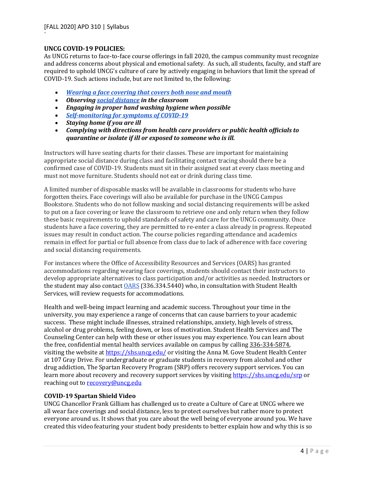## **UNCG COVID-19 POLICIES:**

`

As UNCG returns to face-to-face course offerings in fall 2020, the campus community must recognize and address concerns about physical and emotional safety. As such, all students, faculty, and staff are required to uphold UNCG's culture of care by actively engaging in behaviors that limit the spread of COVID-19. Such actions include, but are not limited to, the following:

- *<u>Wearing a face covering that covers both nose and mouth</u>*
- Observing social distance in the classroom
- *Engaging in proper hand washing hygiene when possible*
- *Self-monitoring for symptoms of COVID-19*
- *Staying home if you are ill*
- Complying with directions from health care providers or public health officials to *quarantine or isolate if ill or exposed to someone who is ill.*

Instructors will have seating charts for their classes. These are important for maintaining appropriate social distance during class and facilitating contact tracing should there be a confirmed case of COVID-19. Students must sit in their assigned seat at every class meeting and must not move furniture. Students should not eat or drink during class time.

A limited number of disposable masks will be available in classrooms for students who have forgotten theirs. Face coverings will also be available for purchase in the UNCG Campus Bookstore. Students who do not follow masking and social distancing requirements will be asked to put on a face covering or leave the classroom to retrieve one and only return when they follow these basic requirements to uphold standards of safety and care for the UNCG community. Once students have a face covering, they are permitted to re-enter a class already in progress. Repeated issues may result in conduct action. The course policies regarding attendance and academics remain in effect for partial or full absence from class due to lack of adherence with face covering and social distancing requirements.

For instances where the Office of Accessibility Resources and Services (OARS) has granted accommodations regarding wearing face coverings, students should contact their instructors to develop appropriate alternatives to class participation and/or activities as needed. Instructors or the student may also contact  $\overline{OARS}$  (336.334.5440) who, in consultation with Student Health Services, will review requests for accommodations.

Health and well-being impact learning and academic success. Throughout your time in the university, you may experience a range of concerns that can cause barriers to your academic success. These might include illnesses, strained relationships, anxiety, high levels of stress, alcohol or drug problems, feeling down, or loss of motivation. Student Health Services and The Counseling Center can help with these or other issues you may experience. You can learn about the free, confidential mental health services available on campus by calling 336-334-5874, visiting the website at https://shs.uncg.edu/ or visiting the Anna M. Gove Student Health Center at 107 Gray Drive. For undergraduate or graduate students in recovery from alcohol and other drug addiction, The Spartan Recovery Program (SRP) offers recovery support services. You can learn more about recovery and recovery support services by visiting https://shs.uncg.edu/srp or reaching out to **recovery@uncg.edu** 

### **COVID-19 Spartan Shield Video**

UNCG Chancellor Frank Gilliam has challenged us to create a Culture of Care at UNCG where we all wear face coverings and social distance, less to protect ourselves but rather more to protect everyone around us. It shows that you care about the well being of everyone around you. We have created this video featuring your student body presidents to better explain how and why this is so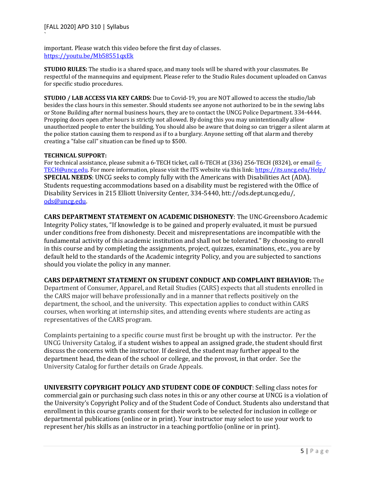important. Please watch this video before the first day of classes. https://youtu.be/Mb58551qxEk 

**STUDIO RULES:** The studio is a shared space, and many tools will be shared with your classmates. Be respectful of the mannequins and equipment. Please refer to the Studio Rules document uploaded on Canvas for specific studio procedures.

**STUDIO** / LAB ACCESS VIA KEY CARDS: Due to Covid-19, you are NOT allowed to access the studio/lab besides the class hours in this semester. Should students see anyone not authorized to be in the sewing labs or Stone Building after normal business hours, they are to contact the UNCG Police Department. 334-4444. Propping doors open after hours is strictly not allowed. By doing this you may unintentionally allow unauthorized people to enter the building. You should also be aware that doing so can trigger a silent alarm at the police station causing them to respond as if to a burglary. Anyone setting off that alarm and thereby creating a "false call" situation can be fined up to \$500.

#### **TECHNICAL SUPPORT:**

For technical assistance, please submit a 6-TECH ticket, call 6-TECH at (336) 256-TECH (8324), or email 6-TECH@uncg.edu. For more information, please visit the ITS website via this link: https://its.uncg.edu/Help/ **SPECIAL NEEDS:** UNCG seeks to comply fully with the Americans with Disabilities Act (ADA). Students requesting accommodations based on a disability must be registered with the Office of Disability Services in 215 Elliott University Center, 334-5440, htt://ods.dept.uncg.edu/, ods@uncg.edu.

**CARS DEPARTMENT STATEMENT ON ACADEMIC DISHONESTY:** The UNC-Greensboro Academic Integrity Policy states, "If knowledge is to be gained and properly evaluated, it must be pursued under conditions free from dishonesty. Deceit and misrepresentations are incompatible with the fundamental activity of this academic institution and shall not be tolerated." By choosing to enroll in this course and by completing the assignments, project, quizzes, examinations, etc., you are by default held to the standards of the Academic integrity Policy, and you are subjected to sanctions should you violate the policy in any manner.

### **CARS DEPARTMENT STATEMENT ON STUDENT CONDUCT AND COMPLAINT BEHAVIOR:** The

Department of Consumer, Apparel, and Retail Studies (CARS) expects that all students enrolled in the CARS major will behave professionally and in a manner that reflects positively on the department, the school, and the university. This expectation applies to conduct within CARS courses, when working at internship sites, and attending events where students are acting as representatives of the CARS program.

Complaints pertaining to a specific course must first be brought up with the instructor. Per the UNCG University Catalog, if a student wishes to appeal an assigned grade, the student should first discuss the concerns with the instructor. If desired, the student may further appeal to the department head, the dean of the school or college, and the provost, in that order. See the University Catalog for further details on Grade Appeals.

**UNIVERSITY COPYRIGHT POLICY AND STUDENT CODE OF CONDUCT:** Selling class notes for commercial gain or purchasing such class notes in this or any other course at UNCG is a violation of the University's Copyright Policy and of the Student Code of Conduct. Students also understand that enrollment in this course grants consent for their work to be selected for inclusion in college or departmental publications (online or in print). Your instructor may select to use your work to represent her/his skills as an instructor in a teaching portfolio (online or in print).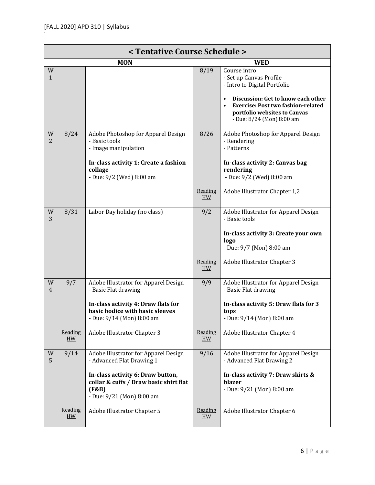| < Tentative Course Schedule > |                      |                                                                                                                   |                      |                                                                                                                                                                                                                         |
|-------------------------------|----------------------|-------------------------------------------------------------------------------------------------------------------|----------------------|-------------------------------------------------------------------------------------------------------------------------------------------------------------------------------------------------------------------------|
|                               |                      | <b>MON</b>                                                                                                        | <b>WED</b>           |                                                                                                                                                                                                                         |
| W<br>1                        |                      |                                                                                                                   | 8/19                 | Course intro<br>- Set up Canvas Profile<br>- Intro to Digital Portfolio<br>Discussion: Get to know each other<br><b>Exercise: Post two fashion-related</b><br>portfolio websites to Canvas<br>- Due: 8/24 (Mon) 8:00 am |
| W<br>$\overline{2}$           | 8/24                 | Adobe Photoshop for Apparel Design<br>- Basic tools<br>- Image manipulation                                       | 8/26                 | Adobe Photoshop for Apparel Design<br>- Rendering<br>- Patterns                                                                                                                                                         |
|                               |                      | In-class activity 1: Create a fashion<br>collage<br>- Due: 9/2 (Wed) 8:00 am                                      |                      | In-class activity 2: Canvas bag<br>rendering<br>- Due: 9/2 (Wed) 8:00 am                                                                                                                                                |
|                               |                      |                                                                                                                   | Reading<br>H W       | Adobe Illustrator Chapter 1,2                                                                                                                                                                                           |
| W<br>3                        | 8/31                 | Labor Day holiday (no class)                                                                                      | 9/2                  | Adobe Illustrator for Apparel Design<br>- Basic tools<br>In-class activity 3: Create your own<br>logo                                                                                                                   |
|                               |                      |                                                                                                                   | Reading<br>H W       | - Due: 9/7 (Mon) 8:00 am<br>Adobe Illustrator Chapter 3                                                                                                                                                                 |
|                               |                      |                                                                                                                   |                      |                                                                                                                                                                                                                         |
| W<br>4                        | 9/7                  | Adobe Illustrator for Apparel Design<br>- Basic Flat drawing                                                      | 9/9                  | Adobe Illustrator for Apparel Design<br>- Basic Flat drawing                                                                                                                                                            |
|                               |                      | In-class activity 4: Draw flats for<br>basic bodice with basic sleeves<br>- Due: 9/14 (Mon) 8:00 am               |                      | In-class activity 5: Draw flats for 3<br>tops<br>- Due: 9/14 (Mon) 8:00 am                                                                                                                                              |
|                               | Reading<br>HM        | Adobe Illustrator Chapter 3                                                                                       | Reading<br><b>HW</b> | Adobe Illustrator Chapter 4                                                                                                                                                                                             |
| $\ensuremath{\text{W}}$<br>5  | 9/14                 | Adobe Illustrator for Apparel Design<br>- Advanced Flat Drawing 1                                                 | 9/16                 | Adobe Illustrator for Apparel Design<br>- Advanced Flat Drawing 2                                                                                                                                                       |
|                               |                      | In-class activity 6: Draw button,<br>collar & cuffs / Draw basic shirt flat<br>(F&B)<br>- Due: 9/21 (Mon) 8:00 am |                      | In-class activity 7: Draw skirts &<br>blazer<br>- Due: 9/21 (Mon) 8:00 am                                                                                                                                               |
|                               | Reading<br><b>HW</b> | Adobe Illustrator Chapter 5                                                                                       | Reading<br>HW        | Adobe Illustrator Chapter 6                                                                                                                                                                                             |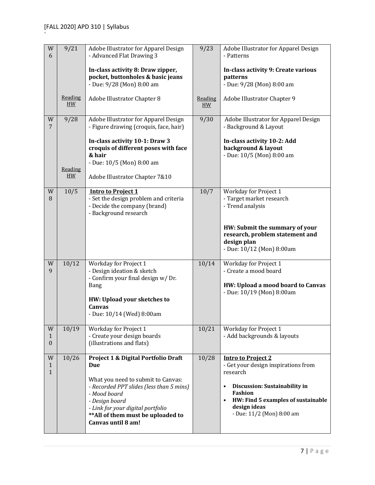| W<br>6                            | 9/21                  | Adobe Illustrator for Apparel Design<br>- Advanced Flat Drawing 3                                                                                                                                                                                                          | 9/23           | Adobe Illustrator for Apparel Design<br>- Patterns                                                                                                                                                                      |
|-----------------------------------|-----------------------|----------------------------------------------------------------------------------------------------------------------------------------------------------------------------------------------------------------------------------------------------------------------------|----------------|-------------------------------------------------------------------------------------------------------------------------------------------------------------------------------------------------------------------------|
|                                   |                       | In-class activity 8: Draw zipper,<br>pocket, buttonholes & basic jeans<br>- Due: 9/28 (Mon) 8:00 am                                                                                                                                                                        |                | In-class activity 9: Create various<br>patterns<br>- Due: 9/28 (Mon) 8:00 am                                                                                                                                            |
|                                   | Reading<br>HM         | Adobe Illustrator Chapter 8                                                                                                                                                                                                                                                | Reading<br>H W | Adobe Illustrator Chapter 9                                                                                                                                                                                             |
| W<br>7                            | 9/28<br>Reading<br>HM | Adobe Illustrator for Apparel Design<br>- Figure drawing (croquis, face, hair)<br>In-class activity 10-1: Draw 3<br>croquis of different poses with face<br>& hair<br>- Due: 10/5 (Mon) 8:00 am                                                                            | 9/30           | Adobe Illustrator for Apparel Design<br>- Background & Layout<br>In-class activity 10-2: Add<br>background & layout<br>- Due: 10/5 (Mon) 8:00 am                                                                        |
|                                   |                       | Adobe Illustrator Chapter 7&10                                                                                                                                                                                                                                             |                |                                                                                                                                                                                                                         |
| W<br>8                            | 10/5                  | <b>Intro to Project 1</b><br>- Set the design problem and criteria<br>- Decide the company (brand)<br>- Background research                                                                                                                                                | 10/7           | <b>Workday for Project 1</b><br>- Target market research<br>- Trend analysis                                                                                                                                            |
|                                   |                       |                                                                                                                                                                                                                                                                            |                | HW: Submit the summary of your<br>research, problem statement and<br>design plan<br>- Due: 10/12 (Mon) 8:00am                                                                                                           |
| W<br>9                            | 10/12                 | <b>Workday for Project 1</b><br>- Design ideation & sketch<br>- Confirm your final design w/Dr.<br><b>Bang</b><br>HW: Upload your sketches to<br>Canvas<br>- Due: 10/14 (Wed) 8:00am                                                                                       | 10/14          | <b>Workday for Project 1</b><br>- Create a mood board<br>HW: Upload a mood board to Canvas<br>- Due: 10/19 (Mon) 8:00am                                                                                                 |
| W<br>$\mathbf{1}$<br>$\mathbf{0}$ | 10/19                 | <b>Workday for Project 1</b><br>- Create your design boards<br>(illustrations and flats)                                                                                                                                                                                   | 10/21          | Workday for Project 1<br>- Add backgrounds & layouts                                                                                                                                                                    |
| W<br>1<br>1                       | 10/26                 | <b>Project 1 &amp; Digital Portfolio Draft</b><br>Due<br>What you need to submit to Canvas:<br>- Recorded PPT slides (less than 5 mins)<br>- Mood board<br>- Design board<br>- Link for your digital portfolio<br>** All of them must be uploaded to<br>Canvas until 8 am! | 10/28          | <b>Intro to Project 2</b><br>- Get your design inspirations from<br>research<br>Discussion: Sustainability in<br>٠<br><b>Fashion</b><br>HW: Find 5 examples of sustainable<br>design ideas<br>- Due: 11/2 (Mon) 8:00 am |